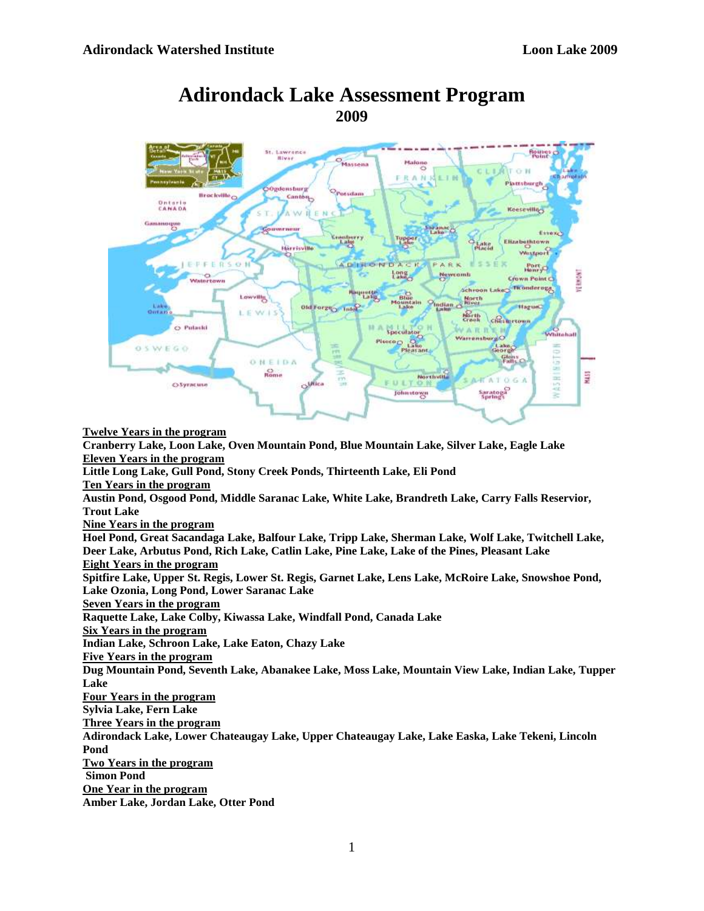

# **Adirondack Lake Assessment Program 2009**

**Twelve Years in the program Cranberry Lake, Loon Lake, Oven Mountain Pond, Blue Mountain Lake, Silver Lake, Eagle Lake Eleven Years in the program Little Long Lake, Gull Pond, Stony Creek Ponds, Thirteenth Lake, Eli Pond Ten Years in the program Austin Pond, Osgood Pond, Middle Saranac Lake, White Lake, Brandreth Lake, Carry Falls Reservior, Trout Lake Nine Years in the program Hoel Pond, Great Sacandaga Lake, Balfour Lake, Tripp Lake, Sherman Lake, Wolf Lake, Twitchell Lake, Deer Lake, Arbutus Pond, Rich Lake, Catlin Lake, Pine Lake, Lake of the Pines, Pleasant Lake Eight Years in the program Spitfire Lake, Upper St. Regis, Lower St. Regis, Garnet Lake, Lens Lake, McRoire Lake, Snowshoe Pond, Lake Ozonia, Long Pond, Lower Saranac Lake Seven Years in the program Raquette Lake, Lake Colby, Kiwassa Lake, Windfall Pond, Canada Lake Six Years in the program Indian Lake, Schroon Lake, Lake Eaton, Chazy Lake Five Years in the program Dug Mountain Pond, Seventh Lake, Abanakee Lake, Moss Lake, Mountain View Lake, Indian Lake, Tupper Lake Four Years in the program Sylvia Lake, Fern Lake Three Years in the program Adirondack Lake, Lower Chateaugay Lake, Upper Chateaugay Lake, Lake Easka, Lake Tekeni, Lincoln Pond Two Years in the program Simon Pond One Year in the program Amber Lake, Jordan Lake, Otter Pond**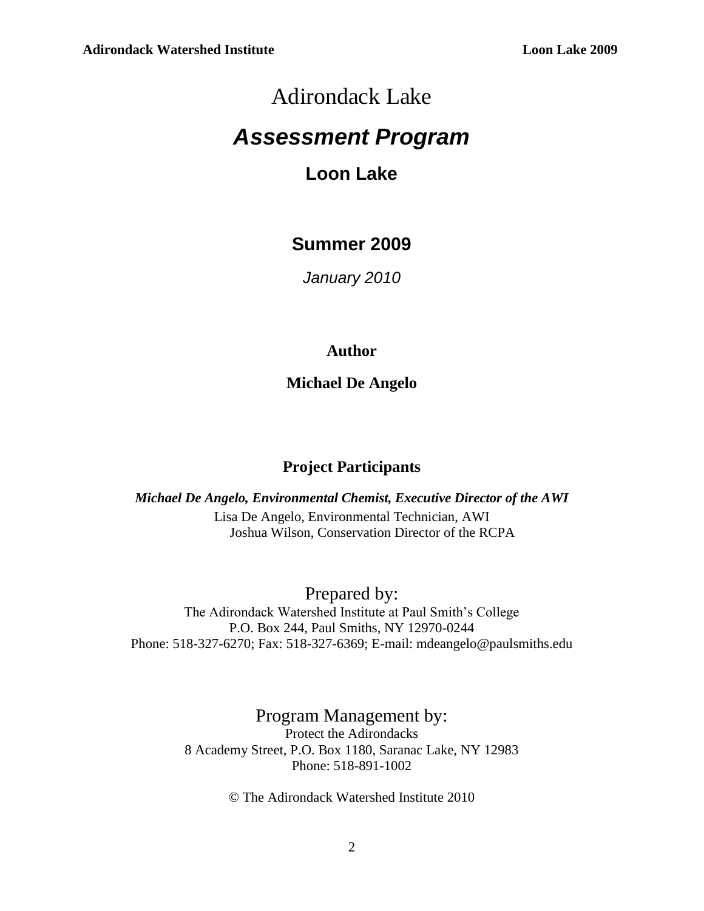# Adirondack Lake

# *Assessment Program*

# **Loon Lake**

# **Summer 2009**

*January 2010*

# **Author**

**Michael De Angelo**

# **Project Participants**

*Michael De Angelo, Environmental Chemist, Executive Director of the AWI* Lisa De Angelo, Environmental Technician, AWI Joshua Wilson, Conservation Director of the RCPA

Prepared by:

The Adirondack Watershed Institute at Paul Smith's College P.O. Box 244, Paul Smiths, NY 12970-0244 Phone: 518-327-6270; Fax: 518-327-6369; E-mail: mdeangelo@paulsmiths.edu

# Program Management by:

Protect the Adirondacks 8 Academy Street, P.O. Box 1180, Saranac Lake, NY 12983 Phone: 518-891-1002

© The Adirondack Watershed Institute 2010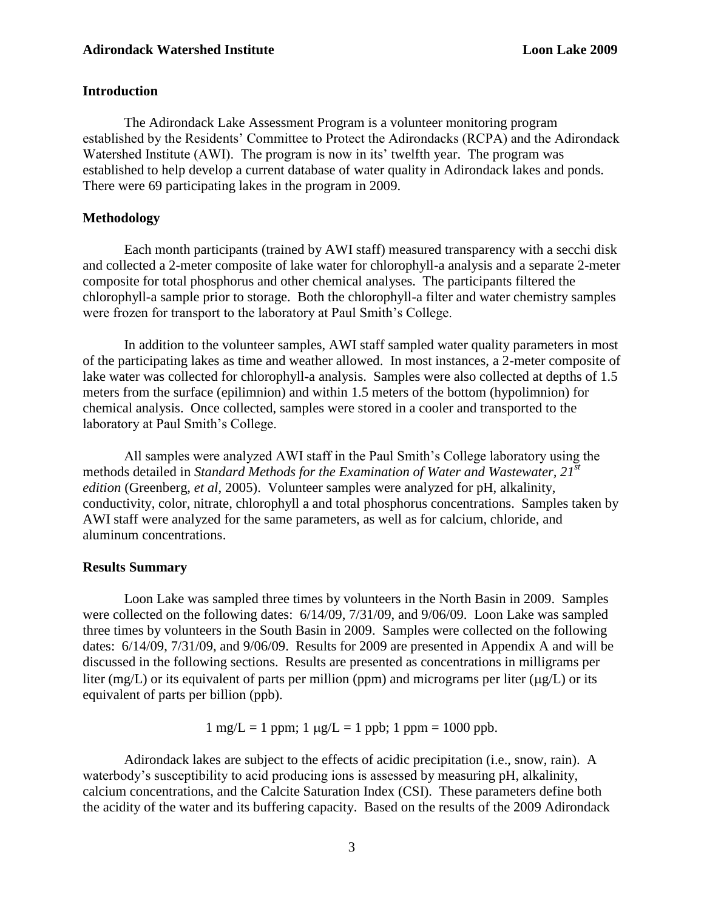#### **Adirondack Watershed Institute Loon Lake 2009** Loon Lake 2009

## **Introduction**

The Adirondack Lake Assessment Program is a volunteer monitoring program established by the Residents' Committee to Protect the Adirondacks (RCPA) and the Adirondack Watershed Institute (AWI). The program is now in its' twelfth year. The program was established to help develop a current database of water quality in Adirondack lakes and ponds. There were 69 participating lakes in the program in 2009.

## **Methodology**

Each month participants (trained by AWI staff) measured transparency with a secchi disk and collected a 2-meter composite of lake water for chlorophyll-a analysis and a separate 2-meter composite for total phosphorus and other chemical analyses. The participants filtered the chlorophyll-a sample prior to storage. Both the chlorophyll-a filter and water chemistry samples were frozen for transport to the laboratory at Paul Smith's College.

In addition to the volunteer samples, AWI staff sampled water quality parameters in most of the participating lakes as time and weather allowed. In most instances, a 2-meter composite of lake water was collected for chlorophyll-a analysis. Samples were also collected at depths of 1.5 meters from the surface (epilimnion) and within 1.5 meters of the bottom (hypolimnion) for chemical analysis. Once collected, samples were stored in a cooler and transported to the laboratory at Paul Smith's College.

All samples were analyzed AWI staff in the Paul Smith's College laboratory using the methods detailed in *Standard Methods for the Examination of Water and Wastewater, 21 st edition* (Greenberg, *et al*, 2005). Volunteer samples were analyzed for pH, alkalinity, conductivity, color, nitrate, chlorophyll a and total phosphorus concentrations. Samples taken by AWI staff were analyzed for the same parameters, as well as for calcium, chloride, and aluminum concentrations.

## **Results Summary**

Loon Lake was sampled three times by volunteers in the North Basin in 2009. Samples were collected on the following dates: 6/14/09, 7/31/09, and 9/06/09. Loon Lake was sampled three times by volunteers in the South Basin in 2009. Samples were collected on the following dates: 6/14/09, 7/31/09, and 9/06/09. Results for 2009 are presented in Appendix A and will be discussed in the following sections. Results are presented as concentrations in milligrams per liter (mg/L) or its equivalent of parts per million (ppm) and micrograms per liter ( $\mu$ g/L) or its equivalent of parts per billion (ppb).

 $1 \text{ mg/L} = 1 \text{ ppm}; 1 \text{ µg/L} = 1 \text{ ppb}; 1 \text{ ppm} = 1000 \text{ ppb}.$ 

Adirondack lakes are subject to the effects of acidic precipitation (i.e., snow, rain). A waterbody's susceptibility to acid producing ions is assessed by measuring pH, alkalinity, calcium concentrations, and the Calcite Saturation Index (CSI). These parameters define both the acidity of the water and its buffering capacity. Based on the results of the 2009 Adirondack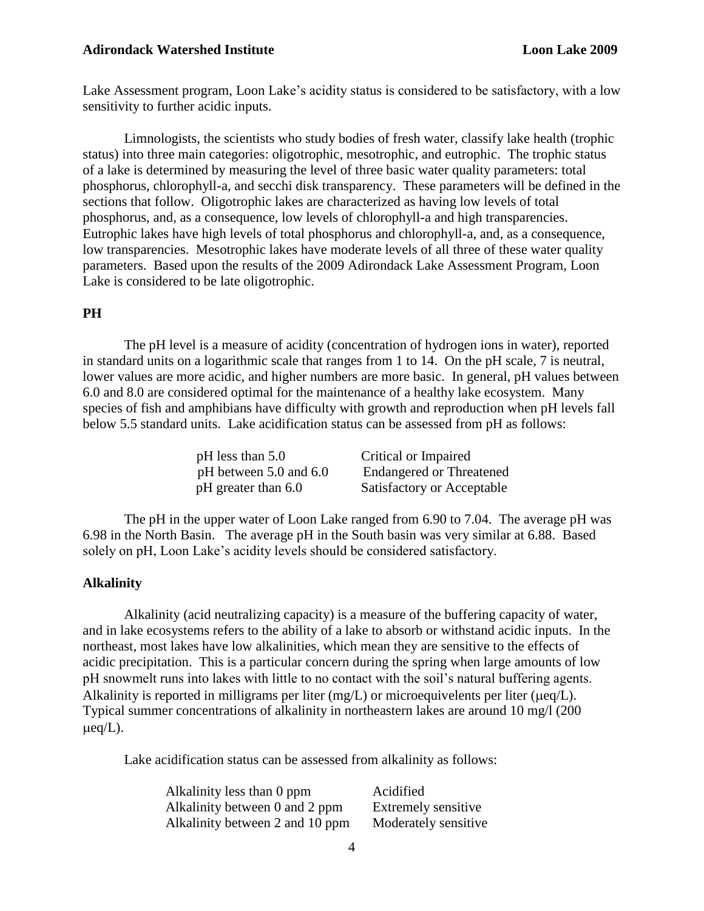#### **Adirondack Watershed Institute Loon Lake 2009 Loon Lake 2009**

Lake Assessment program, Loon Lake's acidity status is considered to be satisfactory, with a low sensitivity to further acidic inputs.

Limnologists, the scientists who study bodies of fresh water, classify lake health (trophic status) into three main categories: oligotrophic, mesotrophic, and eutrophic. The trophic status of a lake is determined by measuring the level of three basic water quality parameters: total phosphorus, chlorophyll-a, and secchi disk transparency. These parameters will be defined in the sections that follow. Oligotrophic lakes are characterized as having low levels of total phosphorus, and, as a consequence, low levels of chlorophyll-a and high transparencies. Eutrophic lakes have high levels of total phosphorus and chlorophyll-a, and, as a consequence, low transparencies. Mesotrophic lakes have moderate levels of all three of these water quality parameters. Based upon the results of the 2009 Adirondack Lake Assessment Program, Loon Lake is considered to be late oligotrophic.

# **PH**

The pH level is a measure of acidity (concentration of hydrogen ions in water), reported in standard units on a logarithmic scale that ranges from 1 to 14. On the pH scale, 7 is neutral, lower values are more acidic, and higher numbers are more basic. In general, pH values between 6.0 and 8.0 are considered optimal for the maintenance of a healthy lake ecosystem. Many species of fish and amphibians have difficulty with growth and reproduction when pH levels fall below 5.5 standard units. Lake acidification status can be assessed from pH as follows:

| $pH$ less than 5.0         | Critical or Impaired            |
|----------------------------|---------------------------------|
| pH between $5.0$ and $6.0$ | <b>Endangered or Threatened</b> |
| pH greater than 6.0        | Satisfactory or Acceptable      |

The pH in the upper water of Loon Lake ranged from 6.90 to 7.04. The average pH was 6.98 in the North Basin. The average pH in the South basin was very similar at 6.88. Based solely on pH, Loon Lake's acidity levels should be considered satisfactory.

#### **Alkalinity**

Alkalinity (acid neutralizing capacity) is a measure of the buffering capacity of water, and in lake ecosystems refers to the ability of a lake to absorb or withstand acidic inputs. In the northeast, most lakes have low alkalinities, which mean they are sensitive to the effects of acidic precipitation. This is a particular concern during the spring when large amounts of low pH snowmelt runs into lakes with little to no contact with the soil's natural buffering agents. Alkalinity is reported in milligrams per liter  $(mg/L)$  or microequivelents per liter ( $\mu$ eq/L). Typical summer concentrations of alkalinity in northeastern lakes are around 10 mg/l (200  $\mu$ eq/L).

Lake acidification status can be assessed from alkalinity as follows:

| Alkalinity less than 0 ppm      |  |
|---------------------------------|--|
| Alkalinity between 0 and 2 ppm  |  |
| Alkalinity between 2 and 10 ppm |  |

Acidified Extremely sensitive Moderately sensitive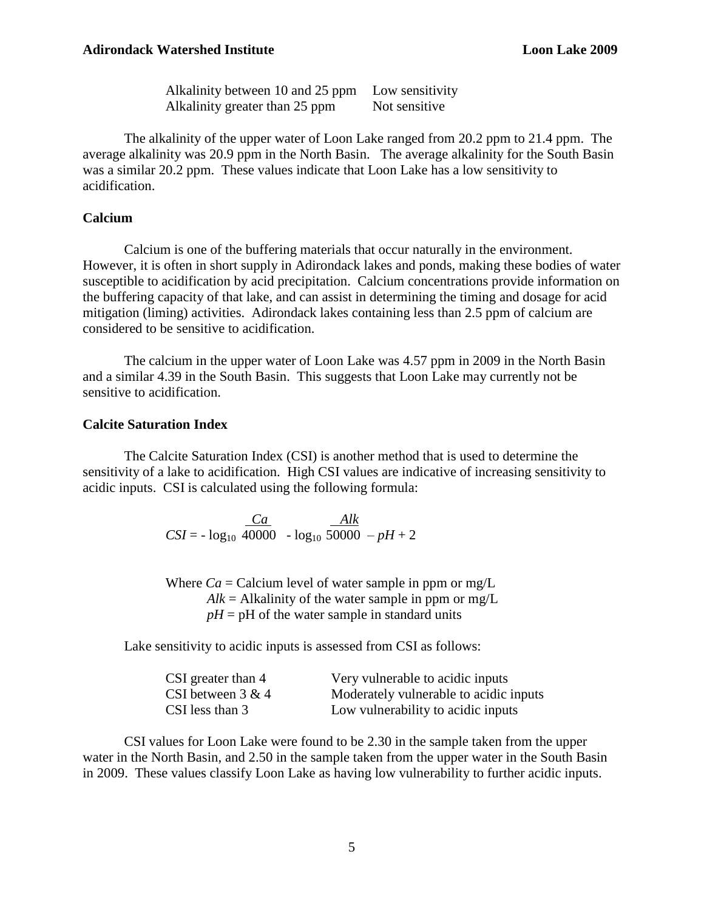Alkalinity between 10 and 25 ppm Low sensitivity Alkalinity greater than 25 ppm Not sensitive

The alkalinity of the upper water of Loon Lake ranged from 20.2 ppm to 21.4 ppm. The average alkalinity was 20.9 ppm in the North Basin. The average alkalinity for the South Basin was a similar 20.2 ppm. These values indicate that Loon Lake has a low sensitivity to acidification.

# **Calcium**

Calcium is one of the buffering materials that occur naturally in the environment. However, it is often in short supply in Adirondack lakes and ponds, making these bodies of water susceptible to acidification by acid precipitation. Calcium concentrations provide information on the buffering capacity of that lake, and can assist in determining the timing and dosage for acid mitigation (liming) activities. Adirondack lakes containing less than 2.5 ppm of calcium are considered to be sensitive to acidification.

The calcium in the upper water of Loon Lake was 4.57 ppm in 2009 in the North Basin and a similar 4.39 in the South Basin. This suggests that Loon Lake may currently not be sensitive to acidification.

#### **Calcite Saturation Index**

The Calcite Saturation Index (CSI) is another method that is used to determine the sensitivity of a lake to acidification. High CSI values are indicative of increasing sensitivity to acidic inputs. CSI is calculated using the following formula:

> *Ca Alk*   $CSI = - log<sub>10</sub> 40000 - log<sub>10</sub> 50000 - pH + 2$

Where  $Ca = Ca$  calcium level of water sample in ppm or mg/L  $Alk = Alkalinity$  of the water sample in ppm or mg/L  $pH = pH$  of the water sample in standard units

Lake sensitivity to acidic inputs is assessed from CSI as follows:

| CSI greater than 4  | Very vulnerable to acidic inputs       |
|---------------------|----------------------------------------|
| CSI between $3 & 4$ | Moderately vulnerable to acidic inputs |
| CSI less than 3     | Low vulnerability to acidic inputs     |

 CSI values for Loon Lake were found to be 2.30 in the sample taken from the upper water in the North Basin, and 2.50 in the sample taken from the upper water in the South Basin in 2009. These values classify Loon Lake as having low vulnerability to further acidic inputs.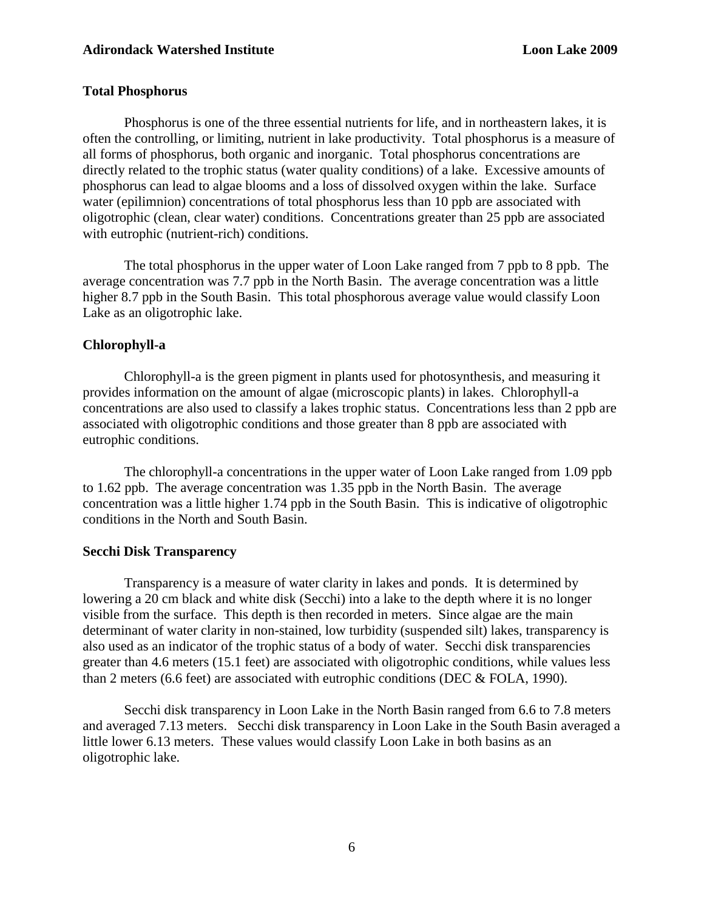# **Total Phosphorus**

Phosphorus is one of the three essential nutrients for life, and in northeastern lakes, it is often the controlling, or limiting, nutrient in lake productivity. Total phosphorus is a measure of all forms of phosphorus, both organic and inorganic. Total phosphorus concentrations are directly related to the trophic status (water quality conditions) of a lake. Excessive amounts of phosphorus can lead to algae blooms and a loss of dissolved oxygen within the lake. Surface water (epilimnion) concentrations of total phosphorus less than 10 ppb are associated with oligotrophic (clean, clear water) conditions. Concentrations greater than 25 ppb are associated with eutrophic (nutrient-rich) conditions.

The total phosphorus in the upper water of Loon Lake ranged from 7 ppb to 8 ppb. The average concentration was 7.7 ppb in the North Basin. The average concentration was a little higher 8.7 ppb in the South Basin. This total phosphorous average value would classify Loon Lake as an oligotrophic lake.

# **Chlorophyll-a**

Chlorophyll-a is the green pigment in plants used for photosynthesis, and measuring it provides information on the amount of algae (microscopic plants) in lakes. Chlorophyll-a concentrations are also used to classify a lakes trophic status. Concentrations less than 2 ppb are associated with oligotrophic conditions and those greater than 8 ppb are associated with eutrophic conditions.

The chlorophyll-a concentrations in the upper water of Loon Lake ranged from 1.09 ppb to 1.62 ppb. The average concentration was 1.35 ppb in the North Basin. The average concentration was a little higher 1.74 ppb in the South Basin. This is indicative of oligotrophic conditions in the North and South Basin.

# **Secchi Disk Transparency**

Transparency is a measure of water clarity in lakes and ponds. It is determined by lowering a 20 cm black and white disk (Secchi) into a lake to the depth where it is no longer visible from the surface. This depth is then recorded in meters. Since algae are the main determinant of water clarity in non-stained, low turbidity (suspended silt) lakes, transparency is also used as an indicator of the trophic status of a body of water. Secchi disk transparencies greater than 4.6 meters (15.1 feet) are associated with oligotrophic conditions, while values less than 2 meters (6.6 feet) are associated with eutrophic conditions (DEC & FOLA, 1990).

Secchi disk transparency in Loon Lake in the North Basin ranged from 6.6 to 7.8 meters and averaged 7.13 meters. Secchi disk transparency in Loon Lake in the South Basin averaged a little lower 6.13 meters. These values would classify Loon Lake in both basins as an oligotrophic lake.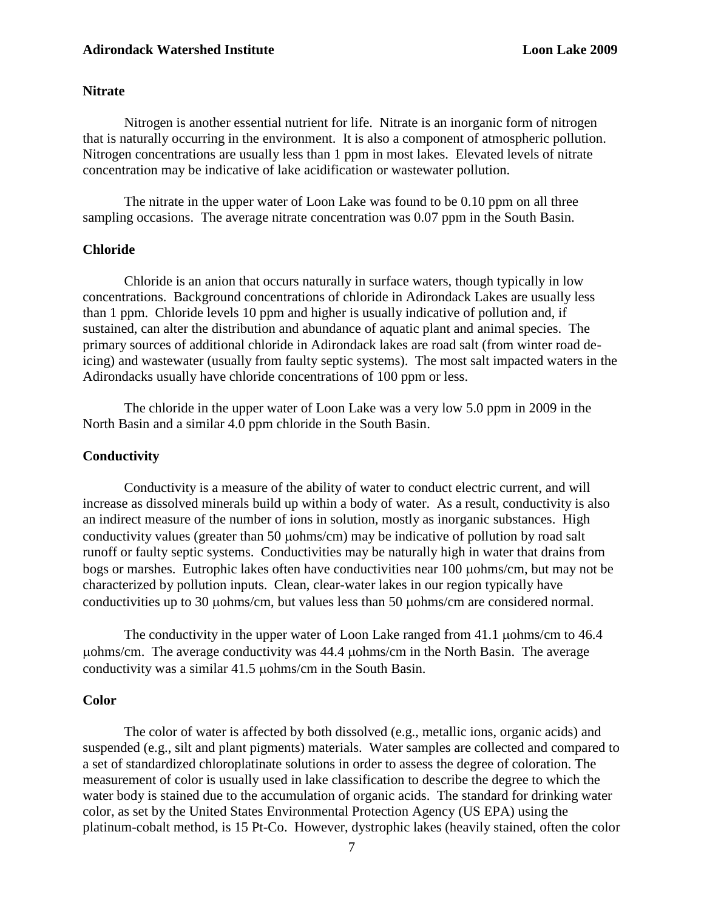#### **Adirondack Watershed Institute Loon Lake 2009** Loon Lake 2009

## **Nitrate**

Nitrogen is another essential nutrient for life. Nitrate is an inorganic form of nitrogen that is naturally occurring in the environment. It is also a component of atmospheric pollution. Nitrogen concentrations are usually less than 1 ppm in most lakes. Elevated levels of nitrate concentration may be indicative of lake acidification or wastewater pollution.

The nitrate in the upper water of Loon Lake was found to be 0.10 ppm on all three sampling occasions. The average nitrate concentration was 0.07 ppm in the South Basin.

#### **Chloride**

Chloride is an anion that occurs naturally in surface waters, though typically in low concentrations. Background concentrations of chloride in Adirondack Lakes are usually less than 1 ppm. Chloride levels 10 ppm and higher is usually indicative of pollution and, if sustained, can alter the distribution and abundance of aquatic plant and animal species. The primary sources of additional chloride in Adirondack lakes are road salt (from winter road deicing) and wastewater (usually from faulty septic systems). The most salt impacted waters in the Adirondacks usually have chloride concentrations of 100 ppm or less.

The chloride in the upper water of Loon Lake was a very low 5.0 ppm in 2009 in the North Basin and a similar 4.0 ppm chloride in the South Basin.

#### **Conductivity**

Conductivity is a measure of the ability of water to conduct electric current, and will increase as dissolved minerals build up within a body of water. As a result, conductivity is also an indirect measure of the number of ions in solution, mostly as inorganic substances. High conductivity values (greater than 50  $\mu$ ohms/cm) may be indicative of pollution by road salt runoff or faulty septic systems. Conductivities may be naturally high in water that drains from bogs or marshes. Eutrophic lakes often have conductivities near 100  $\mu$ ohms/cm, but may not be characterized by pollution inputs. Clean, clear-water lakes in our region typically have conductivities up to 30 µohms/cm, but values less than 50 µohms/cm are considered normal.

The conductivity in the upper water of Loon Lake ranged from 41.1 µohms/cm to 46.4 uohms/cm. The average conductivity was 44.4 µohms/cm in the North Basin. The average conductivity was a similar  $41.5 \mu$ ohms/cm in the South Basin.

## **Color**

The color of water is affected by both dissolved (e.g., metallic ions, organic acids) and suspended (e.g., silt and plant pigments) materials. Water samples are collected and compared to a set of standardized chloroplatinate solutions in order to assess the degree of coloration. The measurement of color is usually used in lake classification to describe the degree to which the water body is stained due to the accumulation of organic acids. The standard for drinking water color, as set by the United States Environmental Protection Agency (US EPA) using the platinum-cobalt method, is 15 Pt-Co. However, dystrophic lakes (heavily stained, often the color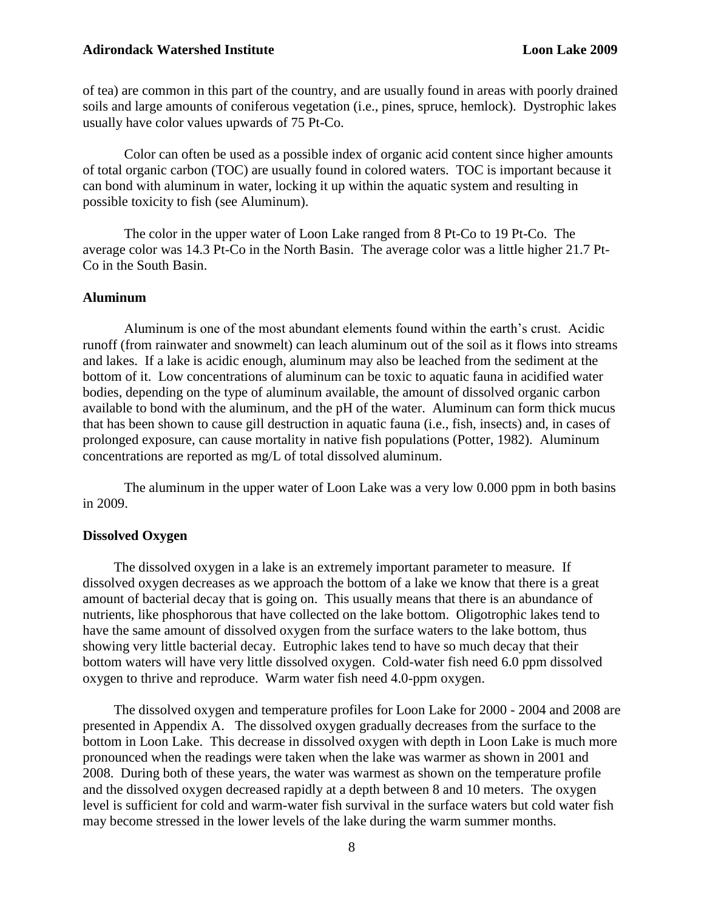#### **Adirondack Watershed Institute Loon Lake 2009**

of tea) are common in this part of the country, and are usually found in areas with poorly drained soils and large amounts of coniferous vegetation (i.e., pines, spruce, hemlock). Dystrophic lakes usually have color values upwards of 75 Pt-Co.

Color can often be used as a possible index of organic acid content since higher amounts of total organic carbon (TOC) are usually found in colored waters. TOC is important because it can bond with aluminum in water, locking it up within the aquatic system and resulting in possible toxicity to fish (see Aluminum).

The color in the upper water of Loon Lake ranged from 8 Pt-Co to 19 Pt-Co. The average color was 14.3 Pt-Co in the North Basin. The average color was a little higher 21.7 Pt-Co in the South Basin.

## **Aluminum**

Aluminum is one of the most abundant elements found within the earth's crust. Acidic runoff (from rainwater and snowmelt) can leach aluminum out of the soil as it flows into streams and lakes. If a lake is acidic enough, aluminum may also be leached from the sediment at the bottom of it. Low concentrations of aluminum can be toxic to aquatic fauna in acidified water bodies, depending on the type of aluminum available, the amount of dissolved organic carbon available to bond with the aluminum, and the pH of the water. Aluminum can form thick mucus that has been shown to cause gill destruction in aquatic fauna (i.e., fish, insects) and, in cases of prolonged exposure, can cause mortality in native fish populations (Potter, 1982). Aluminum concentrations are reported as mg/L of total dissolved aluminum.

The aluminum in the upper water of Loon Lake was a very low 0.000 ppm in both basins in 2009.

#### **Dissolved Oxygen**

 The dissolved oxygen in a lake is an extremely important parameter to measure. If dissolved oxygen decreases as we approach the bottom of a lake we know that there is a great amount of bacterial decay that is going on. This usually means that there is an abundance of nutrients, like phosphorous that have collected on the lake bottom. Oligotrophic lakes tend to have the same amount of dissolved oxygen from the surface waters to the lake bottom, thus showing very little bacterial decay. Eutrophic lakes tend to have so much decay that their bottom waters will have very little dissolved oxygen. Cold-water fish need 6.0 ppm dissolved oxygen to thrive and reproduce. Warm water fish need 4.0-ppm oxygen.

 The dissolved oxygen and temperature profiles for Loon Lake for 2000 - 2004 and 2008 are presented in Appendix A. The dissolved oxygen gradually decreases from the surface to the bottom in Loon Lake. This decrease in dissolved oxygen with depth in Loon Lake is much more pronounced when the readings were taken when the lake was warmer as shown in 2001 and 2008. During both of these years, the water was warmest as shown on the temperature profile and the dissolved oxygen decreased rapidly at a depth between 8 and 10 meters. The oxygen level is sufficient for cold and warm-water fish survival in the surface waters but cold water fish may become stressed in the lower levels of the lake during the warm summer months.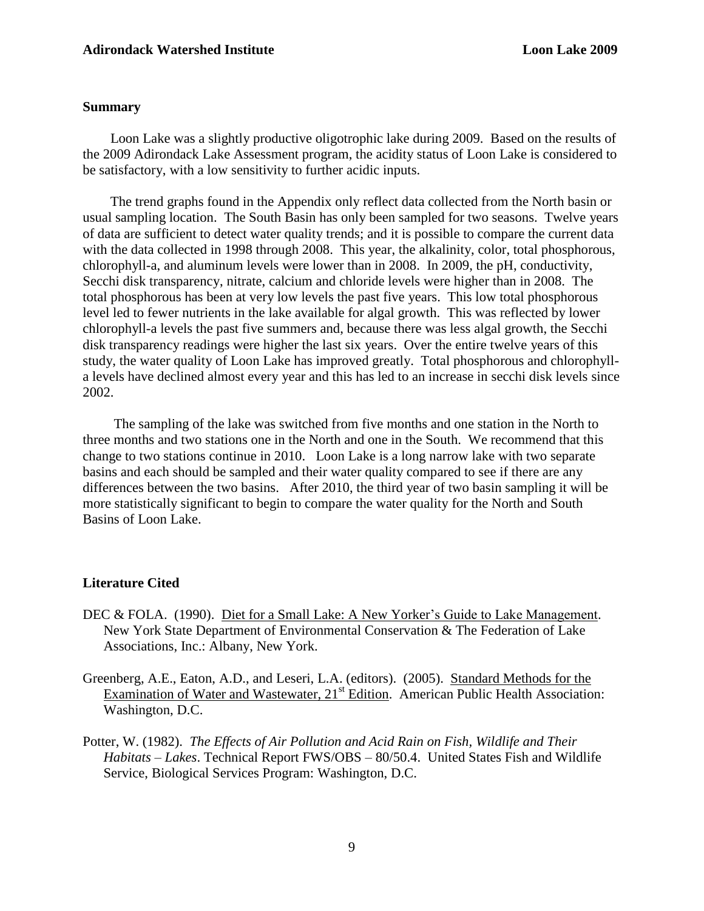## **Summary**

 Loon Lake was a slightly productive oligotrophic lake during 2009. Based on the results of the 2009 Adirondack Lake Assessment program, the acidity status of Loon Lake is considered to be satisfactory, with a low sensitivity to further acidic inputs.

 The trend graphs found in the Appendix only reflect data collected from the North basin or usual sampling location. The South Basin has only been sampled for two seasons. Twelve years of data are sufficient to detect water quality trends; and it is possible to compare the current data with the data collected in 1998 through 2008. This year, the alkalinity, color, total phosphorous, chlorophyll-a, and aluminum levels were lower than in 2008. In 2009, the pH, conductivity, Secchi disk transparency, nitrate, calcium and chloride levels were higher than in 2008. The total phosphorous has been at very low levels the past five years. This low total phosphorous level led to fewer nutrients in the lake available for algal growth. This was reflected by lower chlorophyll-a levels the past five summers and, because there was less algal growth, the Secchi disk transparency readings were higher the last six years. Over the entire twelve years of this study, the water quality of Loon Lake has improved greatly. Total phosphorous and chlorophylla levels have declined almost every year and this has led to an increase in secchi disk levels since 2002.

 The sampling of the lake was switched from five months and one station in the North to three months and two stations one in the North and one in the South. We recommend that this change to two stations continue in 2010. Loon Lake is a long narrow lake with two separate basins and each should be sampled and their water quality compared to see if there are any differences between the two basins. After 2010, the third year of two basin sampling it will be more statistically significant to begin to compare the water quality for the North and South Basins of Loon Lake.

## **Literature Cited**

- DEC & FOLA. (1990). Diet for a Small Lake: A New Yorker's Guide to Lake Management. New York State Department of Environmental Conservation & The Federation of Lake Associations, Inc.: Albany, New York.
- Greenberg, A.E., Eaton, A.D., and Leseri, L.A. (editors). (2005). Standard Methods for the Examination of Water and Wastewater, 21<sup>st</sup> Edition. American Public Health Association: Washington, D.C.
- Potter, W. (1982). *The Effects of Air Pollution and Acid Rain on Fish, Wildlife and Their Habitats – Lakes*. Technical Report FWS/OBS – 80/50.4. United States Fish and Wildlife Service, Biological Services Program: Washington, D.C.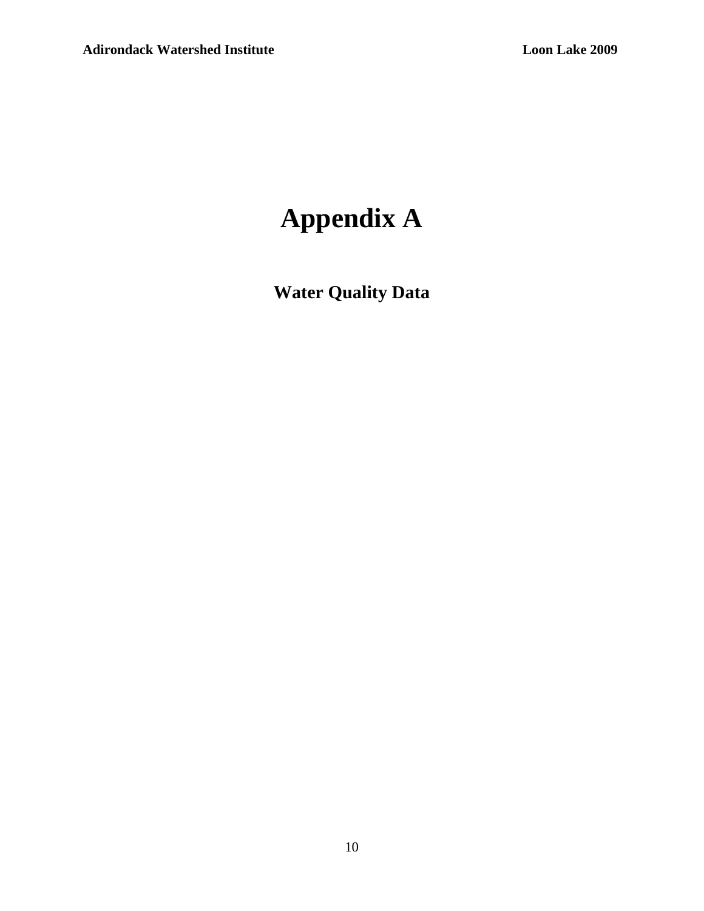# **Appendix A**

**Water Quality Data**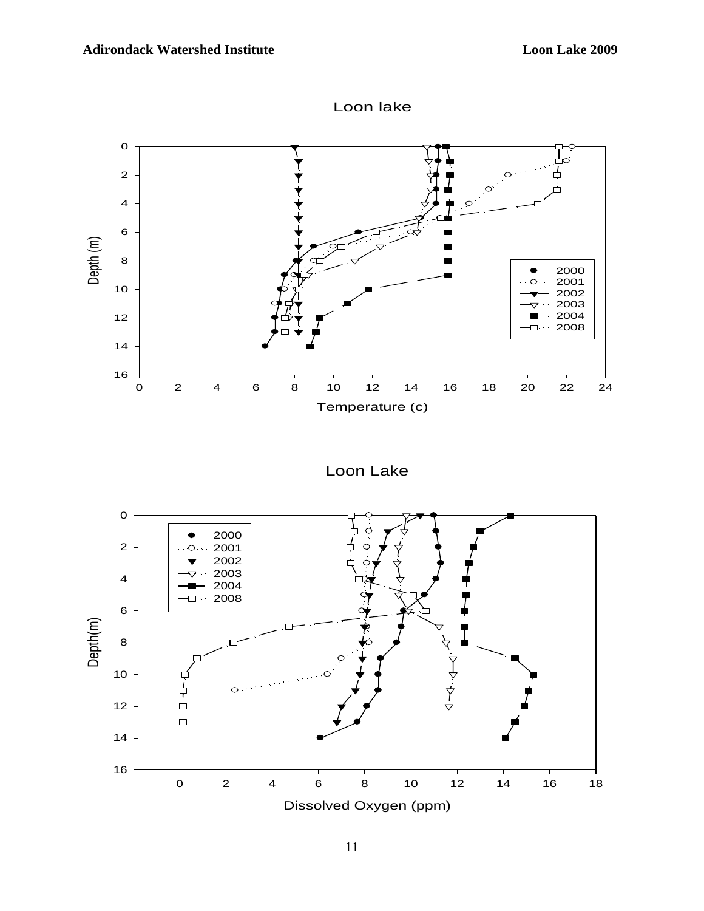



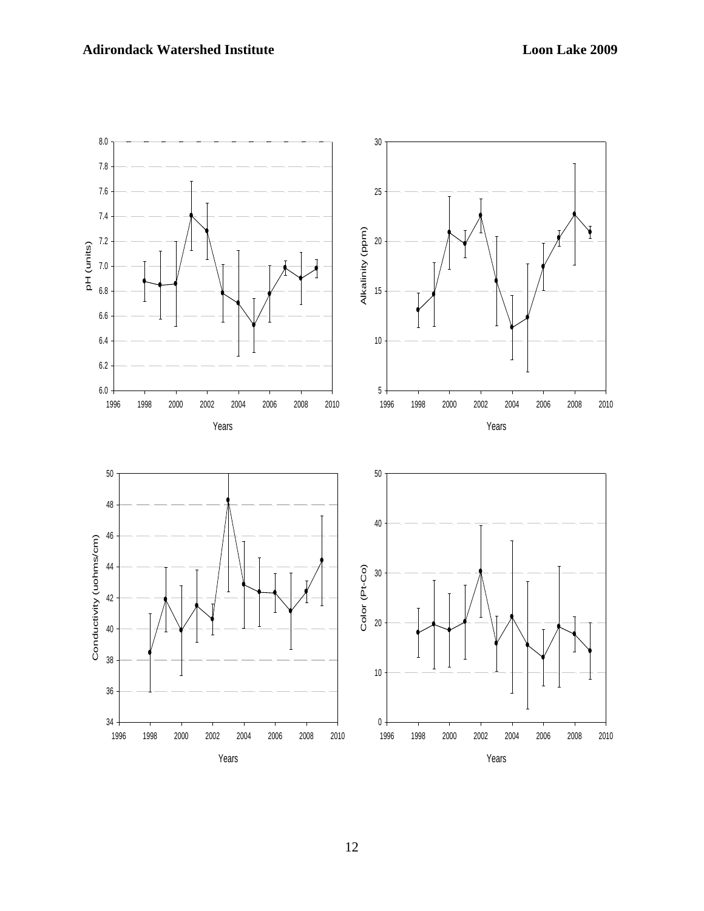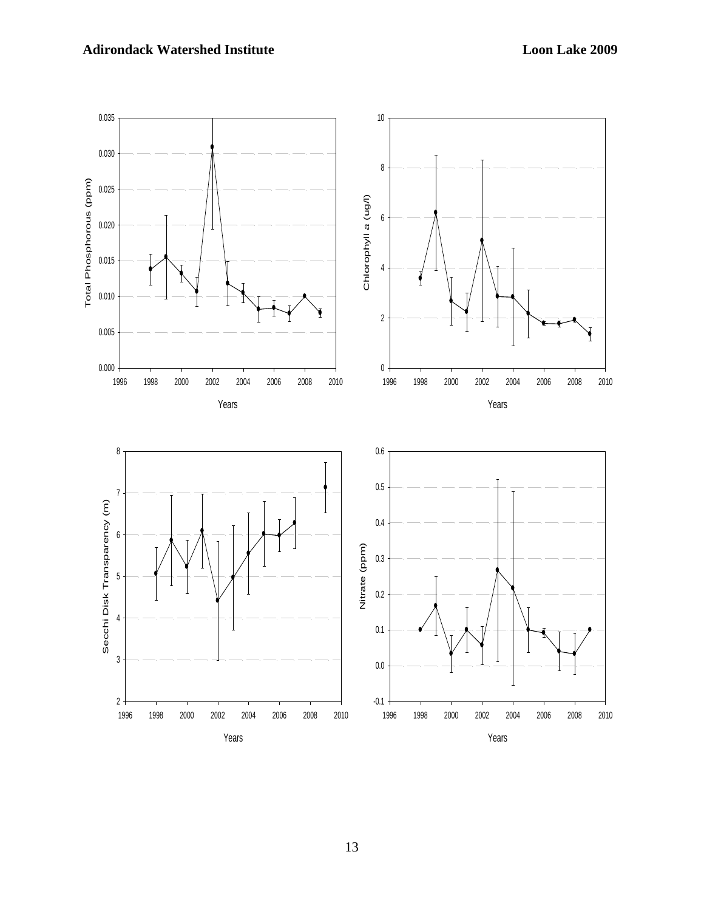# **Adirondack Watershed Institute Loon Lake 2009**